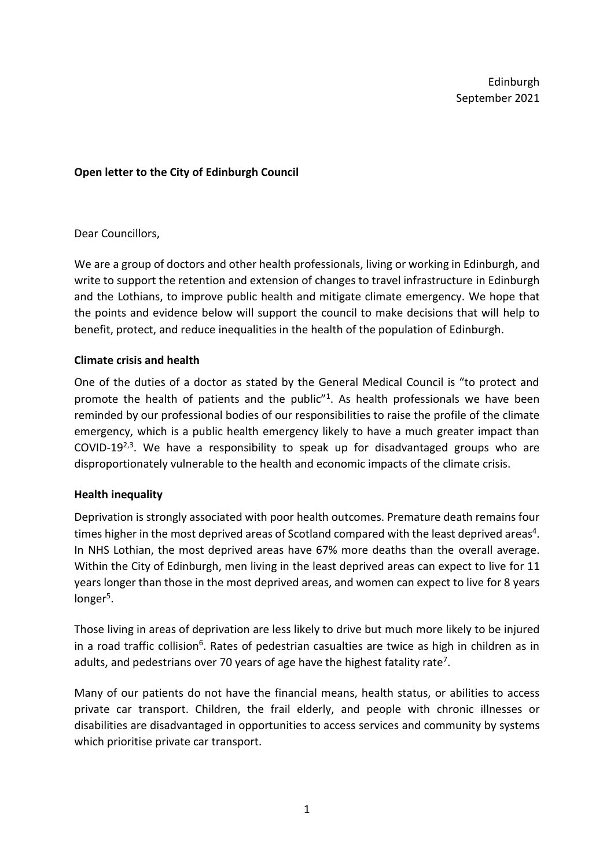Edinburgh September 2021

### **Open letter to the City of Edinburgh Council**

#### Dear Councillors,

We are a group of doctors and other health professionals, living or working in Edinburgh, and write to support the retention and extension of changes to travel infrastructure in Edinburgh and the Lothians, to improve public health and mitigate climate emergency. We hope that the points and evidence below will support the council to make decisions that will help to benefit, protect, and reduce inequalities in the health of the population of Edinburgh.

### **Climate crisis and health**

One of the duties of a doctor as stated by the General Medical Council is "to protect and promote the health of patients and the public"<sup>1</sup>. As health professionals we have been reminded by our professional bodies of our responsibilities to raise the profile of the climate emergency, which is a public health emergency likely to have a much greater impact than COVID-19<sup>2,3</sup>. We have a responsibility to speak up for disadvantaged groups who are disproportionately vulnerable to the health and economic impacts of the climate crisis.

#### **Health inequality**

Deprivation is strongly associated with poor health outcomes. Premature death remains four times higher in the most deprived areas of Scotland compared with the least deprived areas<sup>4</sup>. In NHS Lothian, the most deprived areas have 67% more deaths than the overall average. Within the City of Edinburgh, men living in the least deprived areas can expect to live for 11 years longer than those in the most deprived areas, and women can expect to live for 8 years longer<sup>5</sup>.

Those living in areas of deprivation are less likely to drive but much more likely to be injured in a road traffic collision<sup>6</sup>. Rates of pedestrian casualties are twice as high in children as in adults, and pedestrians over 70 years of age have the highest fatality rate<sup>7</sup>.

Many of our patients do not have the financial means, health status, or abilities to access private car transport. Children, the frail elderly, and people with chronic illnesses or disabilities are disadvantaged in opportunities to access services and community by systems which prioritise private car transport.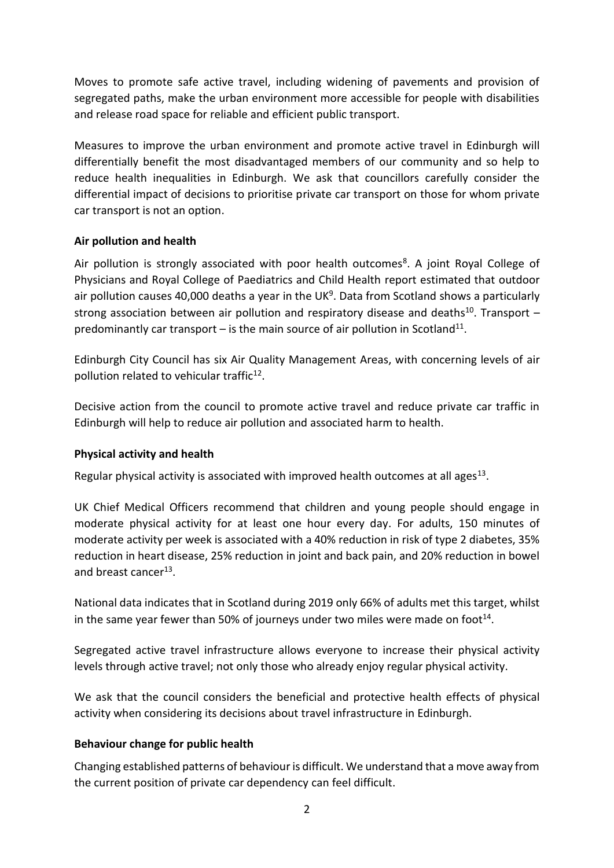Moves to promote safe active travel, including widening of pavements and provision of segregated paths, make the urban environment more accessible for people with disabilities and release road space for reliable and efficient public transport.

Measures to improve the urban environment and promote active travel in Edinburgh will differentially benefit the most disadvantaged members of our community and so help to reduce health inequalities in Edinburgh. We ask that councillors carefully consider the differential impact of decisions to prioritise private car transport on those for whom private car transport is not an option.

# **Air pollution and health**

Air pollution is strongly associated with poor health outcomes<sup>8</sup>. A joint Royal College of Physicians and Royal College of Paediatrics and Child Health report estimated that outdoor air pollution causes 40,000 deaths a year in the UK<sup>9</sup>. Data from Scotland shows a particularly strong association between air pollution and respiratory disease and deaths<sup>10</sup>. Transport  $$ predominantly car transport  $-$  is the main source of air pollution in Scotland<sup>11</sup>.

Edinburgh City Council has six Air Quality Management Areas, with concerning levels of air pollution related to vehicular traffic<sup>12</sup>.

Decisive action from the council to promote active travel and reduce private car traffic in Edinburgh will help to reduce air pollution and associated harm to health.

# **Physical activity and health**

Regular physical activity is associated with improved health outcomes at all ages<sup>13</sup>.

UK Chief Medical Officers recommend that children and young people should engage in moderate physical activity for at least one hour every day. For adults, 150 minutes of moderate activity per week is associated with a 40% reduction in risk of type 2 diabetes, 35% reduction in heart disease, 25% reduction in joint and back pain, and 20% reduction in bowel and breast cancer<sup>13</sup>.

National data indicates that in Scotland during 2019 only 66% of adults met this target, whilst in the same year fewer than 50% of journeys under two miles were made on foot<sup>14</sup>.

Segregated active travel infrastructure allows everyone to increase their physical activity levels through active travel; not only those who already enjoy regular physical activity.

We ask that the council considers the beneficial and protective health effects of physical activity when considering its decisions about travel infrastructure in Edinburgh.

# **Behaviour change for public health**

Changing established patterns of behaviour is difficult. We understand that a move away from the current position of private car dependency can feel difficult.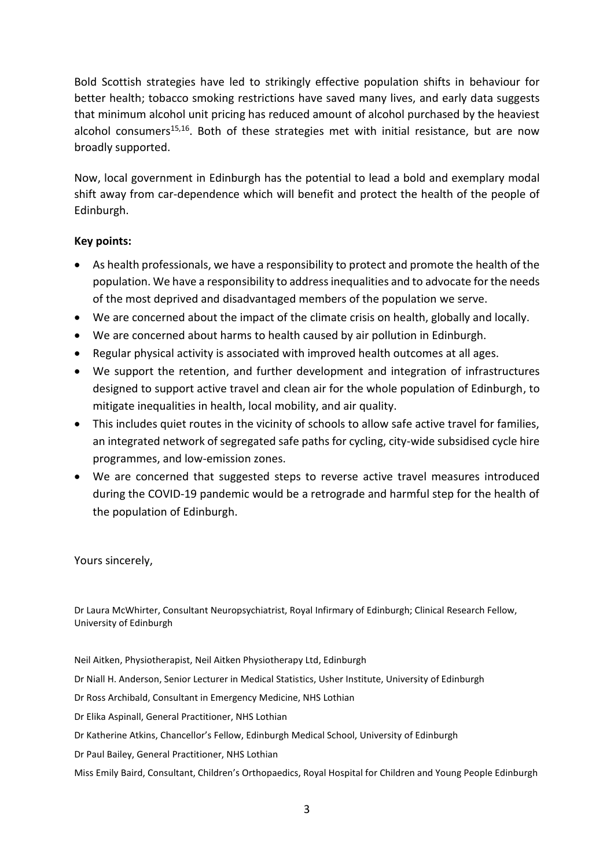Bold Scottish strategies have led to strikingly effective population shifts in behaviour for better health; tobacco smoking restrictions have saved many lives, and early data suggests that minimum alcohol unit pricing has reduced amount of alcohol purchased by the heaviest alcohol consumers<sup>15,16</sup>. Both of these strategies met with initial resistance, but are now broadly supported.

Now, local government in Edinburgh has the potential to lead a bold and exemplary modal shift away from car-dependence which will benefit and protect the health of the people of Edinburgh.

# **Key points:**

- As health professionals, we have a responsibility to protect and promote the health of the population. We have a responsibility to address inequalities and to advocate for the needs of the most deprived and disadvantaged members of the population we serve.
- We are concerned about the impact of the climate crisis on health, globally and locally.
- We are concerned about harms to health caused by air pollution in Edinburgh.
- Regular physical activity is associated with improved health outcomes at all ages.
- We support the retention, and further development and integration of infrastructures designed to support active travel and clean air for the whole population of Edinburgh, to mitigate inequalities in health, local mobility, and air quality.
- This includes quiet routes in the vicinity of schools to allow safe active travel for families, an integrated network of segregated safe paths for cycling, city-wide subsidised cycle hire programmes, and low-emission zones.
- We are concerned that suggested steps to reverse active travel measures introduced during the COVID-19 pandemic would be a retrograde and harmful step for the health of the population of Edinburgh.

Yours sincerely,

Dr Laura McWhirter, Consultant Neuropsychiatrist, Royal Infirmary of Edinburgh; Clinical Research Fellow, University of Edinburgh

Neil Aitken, Physiotherapist, Neil Aitken Physiotherapy Ltd, Edinburgh

Dr Niall H. Anderson, Senior Lecturer in Medical Statistics, Usher Institute, University of Edinburgh

Dr Ross Archibald, Consultant in Emergency Medicine, NHS Lothian

Dr Elika Aspinall, General Practitioner, NHS Lothian

Dr Katherine Atkins, Chancellor's Fellow, Edinburgh Medical School, University of Edinburgh

Dr Paul Bailey, General Practitioner, NHS Lothian

Miss Emily Baird, Consultant, Children's Orthopaedics, Royal Hospital for Children and Young People Edinburgh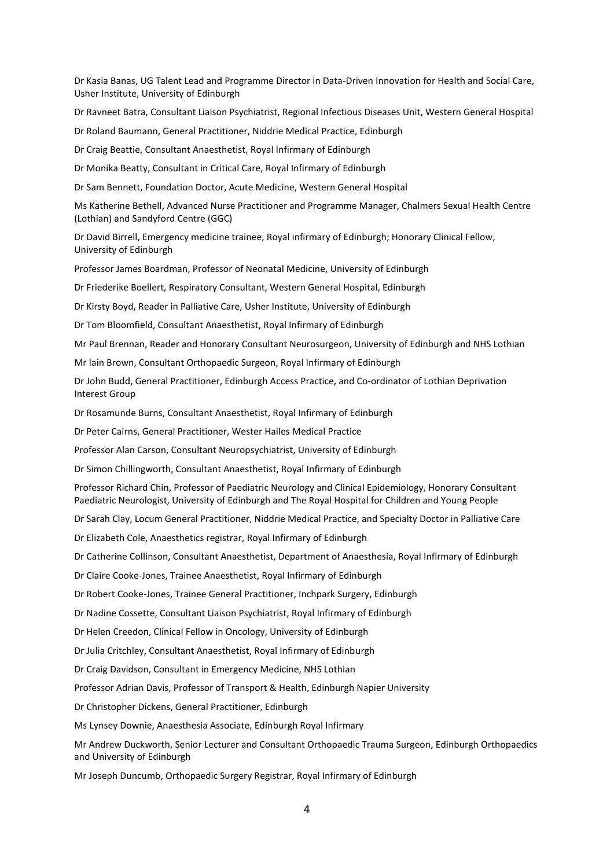Dr Kasia Banas, UG Talent Lead and Programme Director in Data-Driven Innovation for Health and Social Care, Usher Institute, University of Edinburgh

Dr Ravneet Batra, Consultant Liaison Psychiatrist, Regional Infectious Diseases Unit, Western General Hospital

Dr Roland Baumann, General Practitioner, Niddrie Medical Practice, Edinburgh

Dr Craig Beattie, Consultant Anaesthetist, Royal Infirmary of Edinburgh

Dr Monika Beatty, Consultant in Critical Care, Royal Infirmary of Edinburgh

Dr Sam Bennett, Foundation Doctor, Acute Medicine, Western General Hospital

Ms Katherine Bethell, Advanced Nurse Practitioner and Programme Manager, Chalmers Sexual Health Centre (Lothian) and Sandyford Centre (GGC)

Dr David Birrell, Emergency medicine trainee, Royal infirmary of Edinburgh; Honorary Clinical Fellow, University of Edinburgh

Professor James Boardman, Professor of Neonatal Medicine, University of Edinburgh

Dr Friederike Boellert, Respiratory Consultant, Western General Hospital, Edinburgh

Dr Kirsty Boyd, Reader in Palliative Care, Usher Institute, University of Edinburgh

Dr Tom Bloomfield, Consultant Anaesthetist, Royal Infirmary of Edinburgh

Mr Paul Brennan, Reader and Honorary Consultant Neurosurgeon, University of Edinburgh and NHS Lothian

Mr Iain Brown, Consultant Orthopaedic Surgeon, Royal Infirmary of Edinburgh

Dr John Budd, General Practitioner, Edinburgh Access Practice, and Co-ordinator of Lothian Deprivation Interest Group

Dr Rosamunde Burns, Consultant Anaesthetist, Royal Infirmary of Edinburgh

Dr Peter Cairns, General Practitioner, Wester Hailes Medical Practice

Professor Alan Carson, Consultant Neuropsychiatrist, University of Edinburgh

Dr Simon Chillingworth, Consultant Anaesthetist, Royal Infirmary of Edinburgh

Professor Richard Chin, Professor of Paediatric Neurology and Clinical Epidemiology, Honorary Consultant Paediatric Neurologist, University of Edinburgh and The Royal Hospital for Children and Young People

Dr Sarah Clay, Locum General Practitioner, Niddrie Medical Practice, and Specialty Doctor in Palliative Care

Dr Elizabeth Cole, Anaesthetics registrar, Royal Infirmary of Edinburgh

Dr Catherine Collinson, Consultant Anaesthetist, Department of Anaesthesia, Royal Infirmary of Edinburgh

Dr Claire Cooke-Jones, Trainee Anaesthetist, Royal Infirmary of Edinburgh

Dr Robert Cooke-Jones, Trainee General Practitioner, Inchpark Surgery, Edinburgh

Dr Nadine Cossette, Consultant Liaison Psychiatrist, Royal Infirmary of Edinburgh

Dr Helen Creedon, Clinical Fellow in Oncology, University of Edinburgh

Dr Julia Critchley, Consultant Anaesthetist, Royal Infirmary of Edinburgh

Dr Craig Davidson, Consultant in Emergency Medicine, NHS Lothian

Professor Adrian Davis, Professor of Transport & Health, Edinburgh Napier University

Dr Christopher Dickens, General Practitioner, Edinburgh

Ms Lynsey Downie, Anaesthesia Associate, Edinburgh Royal Infirmary

Mr Andrew Duckworth, Senior Lecturer and Consultant Orthopaedic Trauma Surgeon, Edinburgh Orthopaedics and University of Edinburgh

Mr Joseph Duncumb, Orthopaedic Surgery Registrar, Royal Infirmary of Edinburgh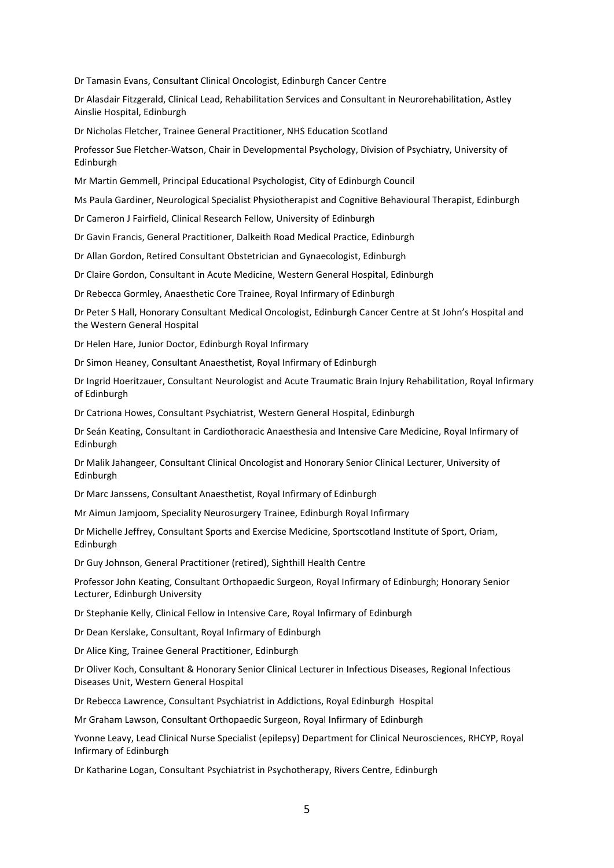Dr Tamasin Evans, Consultant Clinical Oncologist, Edinburgh Cancer Centre

Dr Alasdair Fitzgerald, Clinical Lead, Rehabilitation Services and Consultant in Neurorehabilitation, Astley Ainslie Hospital, Edinburgh

Dr Nicholas Fletcher, Trainee General Practitioner, NHS Education Scotland

Professor Sue Fletcher-Watson, Chair in Developmental Psychology, Division of Psychiatry, University of Edinburgh

Mr Martin Gemmell, Principal Educational Psychologist, City of Edinburgh Council

Ms Paula Gardiner, Neurological Specialist Physiotherapist and Cognitive Behavioural Therapist, Edinburgh

Dr Cameron J Fairfield, Clinical Research Fellow, University of Edinburgh

Dr Gavin Francis, General Practitioner, Dalkeith Road Medical Practice, Edinburgh

Dr Allan Gordon, Retired Consultant Obstetrician and Gynaecologist, Edinburgh

Dr Claire Gordon, Consultant in Acute Medicine, Western General Hospital, Edinburgh

Dr Rebecca Gormley, Anaesthetic Core Trainee, Royal Infirmary of Edinburgh

Dr Peter S Hall, Honorary Consultant Medical Oncologist, Edinburgh Cancer Centre at St John's Hospital and the Western General Hospital

Dr Helen Hare, Junior Doctor, Edinburgh Royal Infirmary

Dr Simon Heaney, Consultant Anaesthetist, Royal Infirmary of Edinburgh

Dr Ingrid Hoeritzauer, Consultant Neurologist and Acute Traumatic Brain Injury Rehabilitation, Royal Infirmary of Edinburgh

Dr Catriona Howes, Consultant Psychiatrist, Western General Hospital, Edinburgh

Dr Seán Keating, Consultant in Cardiothoracic Anaesthesia and Intensive Care Medicine, Royal Infirmary of Edinburgh

Dr Malik Jahangeer, Consultant Clinical Oncologist and Honorary Senior Clinical Lecturer, University of Edinburgh

Dr Marc Janssens, Consultant Anaesthetist, Royal Infirmary of Edinburgh

Mr Aimun Jamjoom, Speciality Neurosurgery Trainee, Edinburgh Royal Infirmary

Dr Michelle Jeffrey, Consultant Sports and Exercise Medicine, Sportscotland Institute of Sport, Oriam, Edinburgh

Dr Guy Johnson, General Practitioner (retired), Sighthill Health Centre

Professor John Keating, Consultant Orthopaedic Surgeon, Royal Infirmary of Edinburgh; Honorary Senior Lecturer, Edinburgh University

Dr Stephanie Kelly, Clinical Fellow in Intensive Care, Royal Infirmary of Edinburgh

Dr Dean Kerslake, Consultant, Royal Infirmary of Edinburgh

Dr Alice King, Trainee General Practitioner, Edinburgh

Dr Oliver Koch, Consultant & Honorary Senior Clinical Lecturer in Infectious Diseases, Regional Infectious Diseases Unit, Western General Hospital

Dr Rebecca Lawrence, Consultant Psychiatrist in Addictions, Royal Edinburgh Hospital

Mr Graham Lawson, Consultant Orthopaedic Surgeon, Royal Infirmary of Edinburgh

Yvonne Leavy, Lead Clinical Nurse Specialist (epilepsy) Department for Clinical Neurosciences, RHCYP, Royal Infirmary of Edinburgh

Dr Katharine Logan, Consultant Psychiatrist in Psychotherapy, Rivers Centre, Edinburgh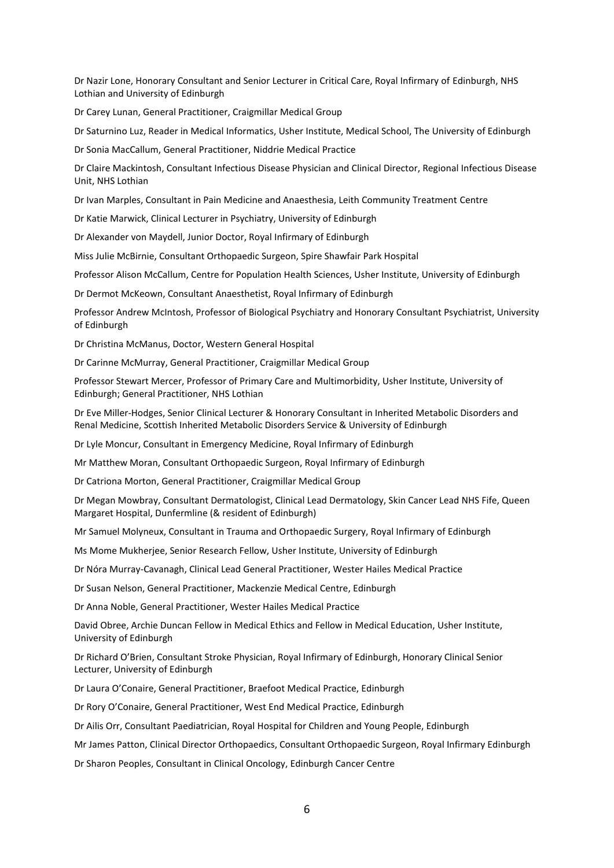Dr Nazir Lone, Honorary Consultant and Senior Lecturer in Critical Care, Royal Infirmary of Edinburgh, NHS Lothian and University of Edinburgh

Dr Carey Lunan, General Practitioner, Craigmillar Medical Group

Dr Saturnino Luz, Reader in Medical Informatics, Usher Institute, Medical School, The University of Edinburgh

Dr Sonia MacCallum, General Practitioner, Niddrie Medical Practice

Dr Claire Mackintosh, Consultant Infectious Disease Physician and Clinical Director, Regional Infectious Disease Unit, NHS Lothian

Dr Ivan Marples, Consultant in Pain Medicine and Anaesthesia, Leith Community Treatment Centre

Dr Katie Marwick, Clinical Lecturer in Psychiatry, University of Edinburgh

Dr Alexander von Maydell, Junior Doctor, Royal Infirmary of Edinburgh

Miss Julie McBirnie, Consultant Orthopaedic Surgeon, Spire Shawfair Park Hospital

Professor Alison McCallum, Centre for Population Health Sciences, Usher Institute, University of Edinburgh

Dr Dermot McKeown, Consultant Anaesthetist, Royal Infirmary of Edinburgh

Professor Andrew McIntosh, Professor of Biological Psychiatry and Honorary Consultant Psychiatrist, University of Edinburgh

Dr Christina McManus, Doctor, Western General Hospital

Dr Carinne McMurray, General Practitioner, Craigmillar Medical Group

Professor Stewart Mercer, Professor of Primary Care and Multimorbidity, Usher Institute, University of Edinburgh; General Practitioner, NHS Lothian

Dr Eve Miller-Hodges, Senior Clinical Lecturer & Honorary Consultant in Inherited Metabolic Disorders and Renal Medicine, Scottish Inherited Metabolic Disorders Service & University of Edinburgh

Dr Lyle Moncur, Consultant in Emergency Medicine, Royal Infirmary of Edinburgh

Mr Matthew Moran, Consultant Orthopaedic Surgeon, Royal Infirmary of Edinburgh

Dr Catriona Morton, General Practitioner, Craigmillar Medical Group

Dr Megan Mowbray, Consultant Dermatologist, Clinical Lead Dermatology, Skin Cancer Lead NHS Fife, Queen Margaret Hospital, Dunfermline (& resident of Edinburgh)

Mr Samuel Molyneux, Consultant in Trauma and Orthopaedic Surgery, Royal Infirmary of Edinburgh

Ms Mome Mukherjee, Senior Research Fellow, Usher Institute, University of Edinburgh

Dr Nóra Murray-Cavanagh, Clinical Lead General Practitioner, Wester Hailes Medical Practice

Dr Susan Nelson, General Practitioner, Mackenzie Medical Centre, Edinburgh

Dr Anna Noble, General Practitioner, Wester Hailes Medical Practice

David Obree, Archie Duncan Fellow in Medical Ethics and Fellow in Medical Education, Usher Institute, University of Edinburgh

Dr Richard O'Brien, Consultant Stroke Physician, Royal Infirmary of Edinburgh, Honorary Clinical Senior Lecturer, University of Edinburgh

Dr Laura O'Conaire, General Practitioner, Braefoot Medical Practice, Edinburgh

Dr Rory O'Conaire, General Practitioner, West End Medical Practice, Edinburgh

Dr Ailis Orr, Consultant Paediatrician, Royal Hospital for Children and Young People, Edinburgh

Mr James Patton, Clinical Director Orthopaedics, Consultant Orthopaedic Surgeon, Royal Infirmary Edinburgh

Dr Sharon Peoples, Consultant in Clinical Oncology, Edinburgh Cancer Centre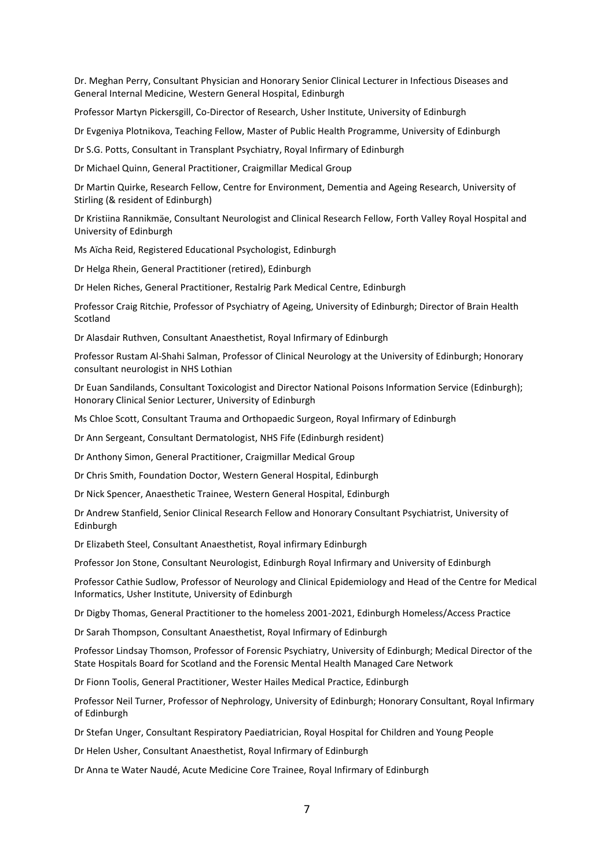Dr. Meghan Perry, Consultant Physician and Honorary Senior Clinical Lecturer in Infectious Diseases and General Internal Medicine, Western General Hospital, Edinburgh

Professor Martyn Pickersgill, Co-Director of Research, Usher Institute, University of Edinburgh

Dr Evgeniya Plotnikova, Teaching Fellow, Master of Public Health Programme, University of Edinburgh

Dr S.G. Potts, Consultant in Transplant Psychiatry, Royal Infirmary of Edinburgh

Dr Michael Quinn, General Practitioner, Craigmillar Medical Group

Dr Martin Quirke, Research Fellow, Centre for Environment, Dementia and Ageing Research, University of Stirling (& resident of Edinburgh)

Dr Kristiina Rannikmäe, Consultant Neurologist and Clinical Research Fellow, Forth Valley Royal Hospital and University of Edinburgh

Ms Aїcha Reid, Registered Educational Psychologist, Edinburgh

Dr Helga Rhein, General Practitioner (retired), Edinburgh

Dr Helen Riches, General Practitioner, Restalrig Park Medical Centre, Edinburgh

Professor Craig Ritchie, Professor of Psychiatry of Ageing, University of Edinburgh; Director of Brain Health Scotland

Dr Alasdair Ruthven, Consultant Anaesthetist, Royal Infirmary of Edinburgh

Professor Rustam Al-Shahi Salman, Professor of Clinical Neurology at the University of Edinburgh; Honorary consultant neurologist in NHS Lothian

Dr Euan Sandilands, Consultant Toxicologist and Director National Poisons Information Service (Edinburgh); Honorary Clinical Senior Lecturer, University of Edinburgh

Ms Chloe Scott, Consultant Trauma and Orthopaedic Surgeon, Royal Infirmary of Edinburgh

Dr Ann Sergeant, Consultant Dermatologist, NHS Fife (Edinburgh resident)

Dr Anthony Simon, General Practitioner, Craigmillar Medical Group

Dr Chris Smith, Foundation Doctor, Western General Hospital, Edinburgh

Dr Nick Spencer, Anaesthetic Trainee, Western General Hospital, Edinburgh

Dr Andrew Stanfield, Senior Clinical Research Fellow and Honorary Consultant Psychiatrist, University of Edinburgh

Dr Elizabeth Steel, Consultant Anaesthetist, Royal infirmary Edinburgh

Professor Jon Stone, Consultant Neurologist, Edinburgh Royal Infirmary and University of Edinburgh

Professor Cathie Sudlow, Professor of Neurology and Clinical Epidemiology and Head of the Centre for Medical Informatics, Usher Institute, University of Edinburgh

Dr Digby Thomas, General Practitioner to the homeless 2001-2021, Edinburgh Homeless/Access Practice

Dr Sarah Thompson, Consultant Anaesthetist, Royal Infirmary of Edinburgh

Professor Lindsay Thomson, Professor of Forensic Psychiatry, University of Edinburgh; Medical Director of the State Hospitals Board for Scotland and the Forensic Mental Health Managed Care Network

Dr Fionn Toolis, General Practitioner, Wester Hailes Medical Practice, Edinburgh

Professor Neil Turner, Professor of Nephrology, University of Edinburgh; Honorary Consultant, Royal Infirmary of Edinburgh

Dr Stefan Unger, Consultant Respiratory Paediatrician, Royal Hospital for Children and Young People

Dr Helen Usher, Consultant Anaesthetist, Royal Infirmary of Edinburgh

Dr Anna te Water Naudé, Acute Medicine Core Trainee, Royal Infirmary of Edinburgh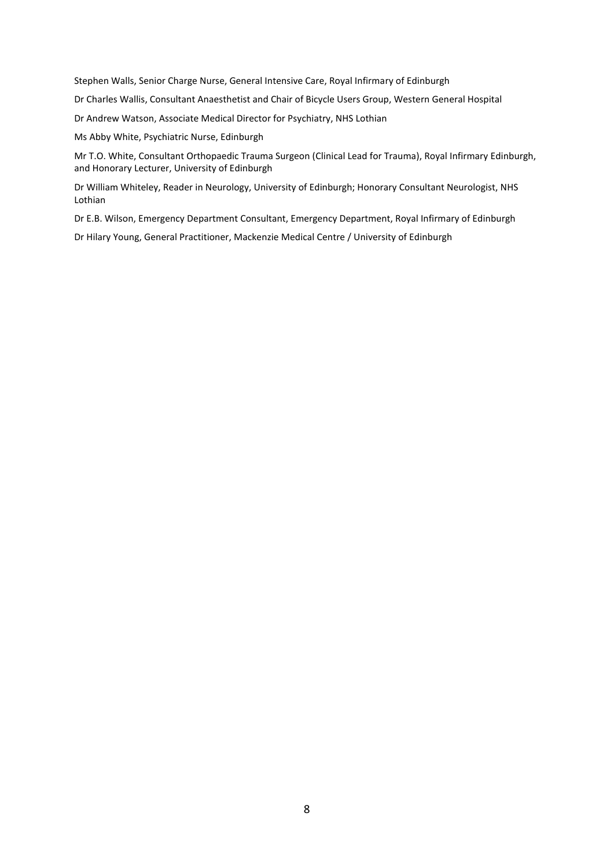Stephen Walls, Senior Charge Nurse, General Intensive Care, Royal Infirmary of Edinburgh

Dr Charles Wallis, Consultant Anaesthetist and Chair of Bicycle Users Group, Western General Hospital

Dr Andrew Watson, Associate Medical Director for Psychiatry, NHS Lothian

Ms Abby White, Psychiatric Nurse, Edinburgh

Mr T.O. White, Consultant Orthopaedic Trauma Surgeon (Clinical Lead for Trauma), Royal Infirmary Edinburgh, and Honorary Lecturer, University of Edinburgh

Dr William Whiteley, Reader in Neurology, University of Edinburgh; Honorary Consultant Neurologist, NHS Lothian

Dr E.B. Wilson, Emergency Department Consultant, Emergency Department, Royal Infirmary of Edinburgh

Dr Hilary Young, General Practitioner, Mackenzie Medical Centre / University of Edinburgh